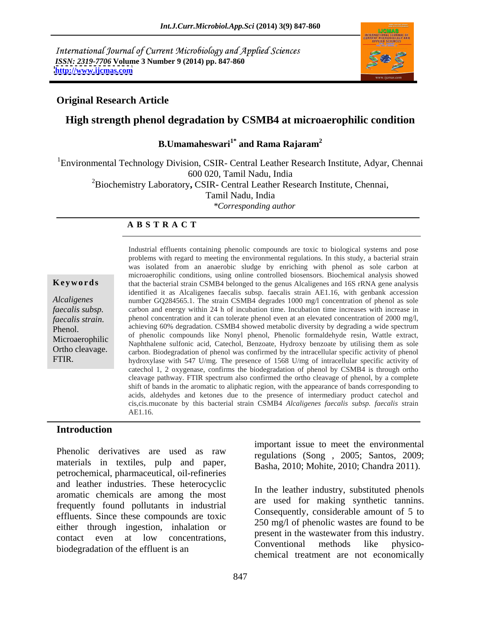International Journal of Current Microbiology and Applied Sciences *ISSN: 2319-7706* **Volume 3 Number 9 (2014) pp. 847-860 <http://www.ijcmas.com>**



## **Original Research Article**

## **High strength phenol degradation by CSMB4 at microaerophilic condition**

**B.Umamaheswari1\* and Rama Rajaram<sup>2</sup>**

<sup>1</sup>Environmental Technology Division, CSIR- Central Leather Research Institute, Adyar, Chennai 600 020, Tamil Nadu, India 2Biochemistry Laboratory**,** CSIR**-** Central Leather Research Institute, Chennai,

Tamil Nadu, India

*\*Corresponding author* 

### **A B S T R A C T**

**Keywords** that the bacterial strain CSMB4 belonged to the genus Alcaligenes and 16S rRNA gene analysis *Alcaligenes*  number GQ284565.1. The strain CSMB4 degrades 1000 mg/l concentration of phenol as sole *faecalis subsp.* carbon and energy within 24 h of incubation time. Incubation time increases with increase in *faecalis strain*. 
phenol concentration and it can tolerate phenol even at an elevated concentration of 2000 mg/l,<br> **Phenol.** 
achieving 60% degradation. CSMB4 showed metabolic diversity by degrading a wide spectrum<br>
We s Microaerophilic and phenone compounds the Nonyi phenon, Filehone formalidenyide resin, wattle extract, Naphthalene sulfonic acid, Catechol, Benzoate, Hydroxy benzoate by utilising them as sole Ortho cleavage. Carbon. Biodegradation of phenol was confirmed by the intracellular specific activity of phenol FTIR. hydroxylase with 547 U/mg. The presence of 1568 U/mg of intracellular specific activity of Industrial effluents containing phenolic compounds are toxic to biological systems and pose problems with regard to meeting the environmental regulations. In this study, a bacterial strain was isolated from an anaerobic sludge by enriching with phenol as sole carbon at microaerophilic conditions, using online controlled biosensors. Biochemical analysis showed identified it as Alcaligenes faecalis subsp. faecalis strain AE1.16, with genbank accession phenol concentration and it can tolerate phenol even at an elevated concentration of 2000 mg/l, of phenolic compounds like Nonyl phenol, Phenolic formaldehyde resin, Wattle extract, catechol 1, 2 oxygenase, confirms the biodegradation of phenol by CSMB4 is through ortho cleavage pathway. FTIR spectrum also confirmed the ortho cleavage of phenol, by a complete shift of bands in the aromatic to aliphatic region, with the appearance of bands corresponding to acids, aldehydes and ketones due to the presence of intermediary product catechol and cis,cis.muconate by this bacterial strain CSMB4 *Alcaligenes faecalis subsp. faecalis* strain AE1.16.

### **Introduction**

Phenolic derivatives are used as raw  $\frac{m}{r}$  regulations (Song  $2005$ ; Santos  $2009$ materials in textiles, pulp and paper, petrochemical, pharmaceutical, oil-refineries and leather industries. These heterocyclic aromatic chemicals are among the most frequently found pollutants in industrial effluents. Since these compounds are toxic either through ingestion, inhalation or contact even at low concentrations, present in the wastewater from this industry. biodegradation of the effluent is an example of the effluent is an example of the effluent is an example of the effluent is an example of the effluent is an example of the effluent is an example of the effluent is an examp

important issue to meet the environmental regulations (Song , 2005; Santos, 2009; Basha, 2010; Mohite, 2010; Chandra 2011).

In the leather industry, substituted phenols are used for making synthetic tannins. Consequently, considerable amount of 5 to 250 mg/l of phenolic wastes are found to be present in the wastewater from this industry. Conventional methods like physico chemical treatment are not economically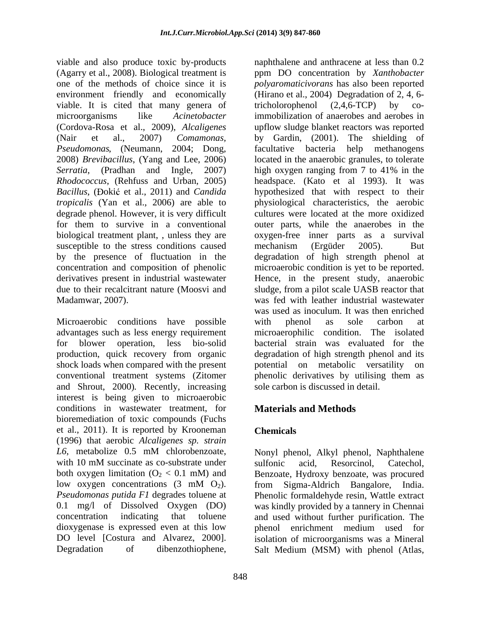viable and also produce toxic by-products environment friendly and economically viable. It is cited that many genera of tricholorophenol (2.4.6-TCP) by co-(Cordova-Rosa et al., 2009), *Alcaligenes*  (Nair et al., 2007) *Comamonas, Pseudomonas*, (Neumann, 2004; Dong, *tropicalis* (Yan et al., 2006) are able to degrade phenol. However, it is very difficult susceptible to the stress conditions caused mechanism (Ergüder 2005). But by the presence of fluctuation in the

Microaerobic conditions have possible with phenol as sole carbon at advantages such as less energy requirement shock loads when compared with the present potential on metabolic versatility on and Shrout, 2000)*.* Recently, increasing interest is being given to microaerobic conditions in wastewater treatment, for bioremediation of toxic compounds (Fuchs et al., 2011). It is reported by Krooneman (1996) that aerobic *Alcaligenes sp. strain L6*, metabolize 0.5 mM chlorobenzoate, Nonyl phenol, Alkyl phenol, Naphthalene with 10 mM succinate as co-substrate under sulfonic acid, Resorcinol, Catechol, both oxygen limitation  $(O_2 < 0.1$  mM) and Benzoate, Hydroxy benzoate, was procured low oxygen concentrations  $(3 \text{ mM } O_2)$ . from Sigma-Aldrich Bangalore, India. *Pseudomonas putida F1* degrades toluene at Phenolic formaldehyde resin, Wattle extract 0.1 mg/l of Dissolved Oxygen (DO) was kindly provided by a tannery in Chennai concentration indicating that toluene and used without further purification. The dioxygenase is expressed even at this low behenol enrichment medium used for DO level [Costura and Alvarez, 2000]. isolation of microorganisms was a Mineral

(Agarry et al., 2008). Biological treatment is ppm DO concentration by *Xanthobacter*  one of the methods of choice since it is *polyaromaticivorans* has also been reported microorganisms like *Acinetobacter*  immobilization of anaerobes and aerobes in 2008) *Brevibacillus*, (Yang and Lee, 2006) located in the anaerobic granules, to tolerate *Serratia*, (Pradhan and Ingle, 2007) high oxygen ranging from 7 to 41% in the *Rhodococcus*, (Rehfuss and Urban, 2005) headspace. (Kato et al 1993). It was *Bacillus*, (Đokić et al., 2011) and *Candida* bypothesized that with respect to their for them to survive in a conventional outer parts, while the anaerobes in the biological treatment plant, , unless they are oxygen-free inner parts as a survival concentration and composition of phenolic microaerobic condition is yet to be reported. derivatives present in industrial wastewater Hence, in the present study, anaerobic due to their recalcitrant nature (Moosvi and sludge, from a pilot scale UASB reactor that Madamwar, 2007). was fed with leather industrial wastewater for blower operation, less bio-solid bacterial strain was evaluated for the production, quick recovery from organic degradation of high strength phenol and its conventional treatment systems (Zitomer phenolic derivatives by utilising them as naphthalene and anthracene at less than 0.2 (Hirano et al., 2004) Degradation of 2, 4, 6 tricholorophenol (2,4,6-TCP) by coupflow sludge blanket reactors was reported by Gardin, (2001). The shielding of facultative bacteria help methanogens physiological characteristics, the aerobic cultures were located at the more oxidized mechanism (Ergüder 2005). But degradation of high strength phenol at was used as inoculum. It was then enriched with phenol as sole carbon at microaerophilic condition. The isolated potential on metabolic versatility sole carbon is discussed in detail.

# **Materials and Methods**

# **Chemicals**

Degradation of dibenzothiophene, Salt Medium (MSM) with phenol (Atlas,sulfonic acid, Resorcinol, Catechol, from Sigma-Aldrich Bangalore, India. phenol enrichment medium used for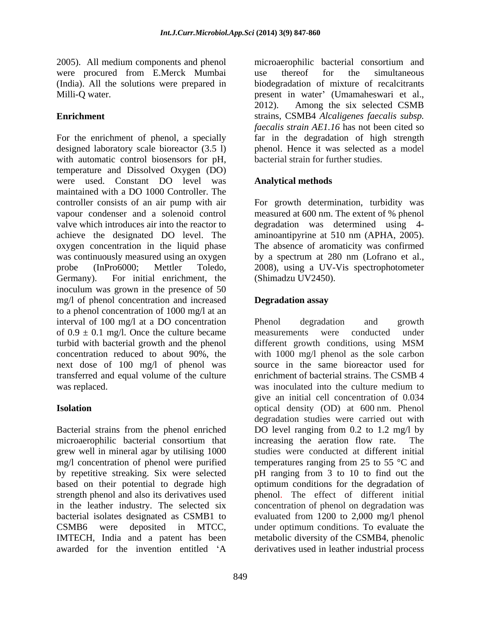2005). All medium components and phenol were procured from E.Merck Mumbai

For the enrichment of phenol, a specially far in the degradation of high strength designed laboratory scale bioreactor (3.5 l) with automatic control biosensors for pH, temperature and Dissolved Oxygen (DO) were used. Constant DO level was maintained with a DO 1000 Controller. The controller consists of an air pump with air For growth determination, turbidity was vapour condenser and a solenoid control measured at 600 nm. The extent of % phenol valve which introduces air into the reactor to degradation was determined using 4 achieve the designated DO level. The aminoantipyrine at 510 nm (APHA,2005). oxygen concentration in the liquid phase was continuously measured using an oxygen probe (InPro6000; Mettler Toledo, 2008), using a UV-Vis spectrophotometer Germany). For initial enrichment, the inoculum was grown in the presence of 50 mg/l of phenol concentration and increased **Degradation assay** to a phenol concentration of 1000 mg/l at an interval of 100 mg/l at a DO concentration Phenol degradation and growth of  $0.9 \pm 0.1$  mg/l. Once the culture became measurements were conducted under turbid with bacterial growth and the phenol different growth conditions, using MSM concentration reduced to about 90%, the with 1000 mg/l phenol as the sole carbon next dose of 100 mg/l of phenol was transferred and equal volume of the culture was replaced. Was inoculated into the culture medium to

Bacterial strains from the phenol enriched microaerophilic bacterial consortium that grew well in mineral agar by utilising 1000 mg/l concentration of phenol were purified temperatures ranging from 25 to 55 °C and by repetitive streaking. Six were selected pH ranging from 3 to 10 to find out the based on their potential to degrade high strength phenol and also its derivatives used phenol. The effect of different initial in the leather industry. The selected six concentration of phenol on degradation was bacterial isolates designated as CSMB1 to evaluated from 1200 to 2,000 mg/l phenol CSMB6 were deposited in MTCC, under optimum conditions. To evaluate the IMTECH, India and a patent has been awarded for the invention entitled 'A derivatives used in leather industrial process

(India). All the solutions were prepared in biodegradation of mixture of recalcitrants Milli-Q water. present in water (Umamaheswari et al., **Enrichment**  strains, CSMB4 *Alcaligenes faecalis subsp.* microaerophilic bacterial consortium and use thereof for the simultaneous 2012). Among the six selected CSMB *faecalis strain AE1.16* has not been cited so phenol. Hence it was selected as a model bacterial strain for further studies.

## **Analytical methods**

The absence of aromaticity was confirmed by a spectrum at 280 nm (Lofrano et al., (Shimadzu UV2450).

## **Degradation assay**

**Isolation**  optical density (OD) at 600 nm. Phenol Phenol degradation and growth measurements were conducted under different growth conditions, using MSM source in the same bioreactor used for enrichment of bacterial strains. The CSMB 4 was inoculated into the culture medium to give an initial cell concentration of 0.034 degradation studies were carried out with DO level ranging from 0.2 to 1.2 mg/l by increasing the aeration flow rate. The studies were conducted at different initial optimum conditions for the degradation of metabolic diversity of the CSMB4, phenolic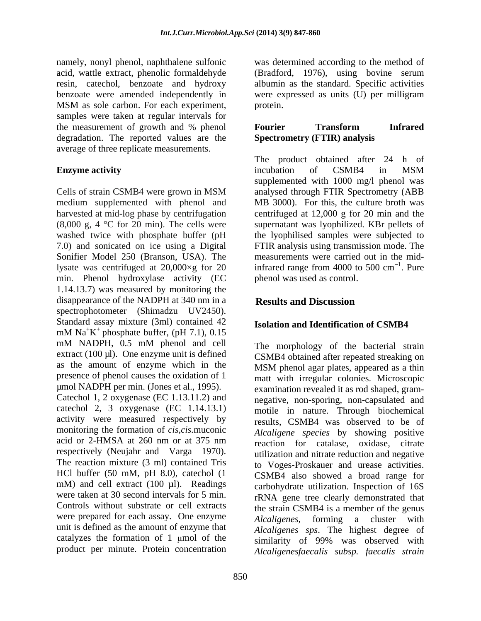namely, nonyl phenol, naphthalene sulfonic samples were taken at regular intervals for the measurement of growth and % phenol **Fourier Transform Infrared** degradation. The reported values are the average of three replicate measurements.

medium supplemented with phenol and harvested at mid-log phase by centrifugation (8,000 g, 4 °C for 20 min). The cells were supernatant was lyophilized. KBr pellets of washed twice with phosphate buffer (pH the lyophilised samples were subjected to 7.0) and sonicated on ice using a Digital FTIR analysisusing transmission mode. The Sonifier Model 250 (Branson, USA). The lysate was centrifuged at 20,000 $\times$ g for 20 infrared range from 4000 to 500 cm<sup>-1</sup>. Pure min. Phenol hydroxylase activity (EC 1.14.13.7) was measured by monitoring the disappearance of the NADPH at 340 nm in a spectrophotometer (Shimadzu UV2450). Standard assay mixture (3ml) contained 42  $\mu$ M Na<sup>+</sup>K<sup>+</sup> phosphate buffer, (pH 7.1), 0.15  $+$  phosphate buffer, (pH 7.1),  $0.15$ mM NADPH, 0.5 mM phenol and cell The morphology of the bacterial strain extract  $(100 \text{ µ})$ . One enzyme unit is defined as the amount of enzyme which in the MSM phenol agar plates, appeared as a thin presence of phenol causes the oxidation of 1 Catechol 1, 2 oxygenase (EC 1.13.11.2) and catechol 2, 3 oxygenase (EC 1.14.13.1) activity were measured respectively by monitoring the formation of *cis,cis.*muconic respectively (Neujahr and Varga 1970). The reaction mixture (3 ml) contained Tris HCl buffer (50 mM, pH 8.0), catechol (1 mM) and cell extract (100 ul). Readings Controls without substrate or cell extracts were prepared for each assay. One enzyme *Alcaligenes*, forming a cluster with unit is defined as the amount of enzyme that catalyzes the formation of  $1 \text{ \mu}$  mol of the product per minute. Protein concentration

acid, wattle extract, phenolic formaldehyde (Bradford, 1976), using bovine serum resin, catechol, benzoate and hydroxy albumin as the standard. Specific activities benzoate were amended independently in were expressed as units (U) per milligram MSM as sole carbon. For each experiment, was determined according to the method of protein.

## **Fourier Transform Infrared Spectrometry (FTIR) analysis**

**Enzyme activity Enzyme activity Enzyme activity Enzyme activity Enzyme activity Enzyme activity Enzyme activity Enzyme activity Enzyme activity Enzyme activity Enzyme activity Enzyme activity Enzym** Cells of strain CSMB4 were grown in MSM The product obtained after 24 h of incubation of CSMB4 in MSM supplemented with 1000 mg/l phenol was analysed through FTIR Spectrometry (ABB MB 3000). For this, the culture broth was centrifuged at 12,000 g for 20 min and the measurements were carried out in the mid- $1 \text{D}_{11}$ . Pure phenol was used as control.

# **Results and Discussion**

# **Isolation and Identification of CSMB4**

µmol NADPH per min. (Jones et al., 1995). examination revealed it as rod shaped, gram acid or 2-HMSA at 260 nm or at 375 nm eaction for catalase, oxidase citrate were taken at 30 second intervals for 5 min. rRNA gene tree clearly demonstrated that The morphology of the bacterial strain CSMB4 obtained after repeated streaking on MSM phenol agar plates, appeared as a thin matt with irregular colonies. Microscopic negative, non-sporing, non-capsulated and motile in nature. Through biochemical results, CSMB4 was observed to be of *Alcaligene species* by showing positive reaction for catalase, oxidase, citrate utilization and nitrate reduction and negative to Voges-Proskauer and urease activities. CSMB4 also showed a broad range for carbohydrate utilization. Inspection of 16S the strain CSMB4 is a member of the genus *Alcaligenes*, forming a cluster *Alcaligenes sps*. The highest degree of similarity of 99% was observed with *Alcaligenesfaecalis subsp. faecalis strain*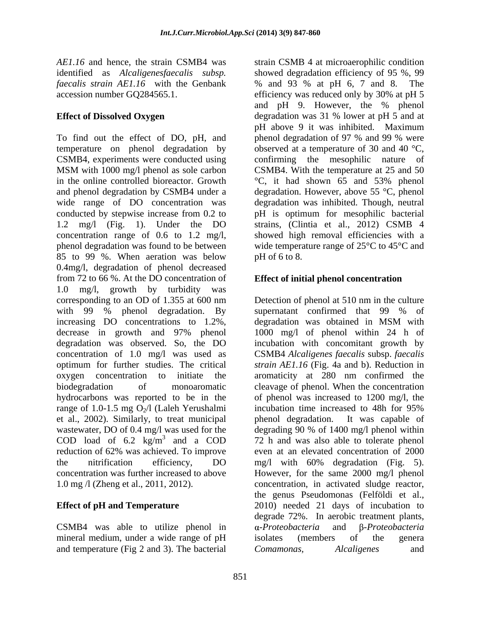*faecalis strain AE1.16* with the Genbank accession number GQ284565.1. efficiency was reduced only by 30% at pH 5

wide range of DO concentration was conducted by stepwise increase from 0.2 to 85 to 99 %. When aeration was below pH of 6 to 8. 0.4mg/l, degradation of phenol decreased from 72 to 66 %. At the DO concentration of **Effect of initial phenol concentration** 1.0 mg/l, growth by turbidity was corresponding to an OD of 1.355 at 600 nm with 99 % phenol degradation. By supernatant confirmed that 99 % of increasing DO concentrations to 1.2%, degradation was obtained in MSM with decrease in growth and 97% phenol range of 1.0-1.5 mg  $O_2/l$  (Laleh Yerushalmi incubation time increased to 48h for 95% et al., 2002). Similarly, to treat municipal behend degradation. It was capable of

CSMB4 was able to utilize phenol in  $\alpha$ -Proteobacteria and B-Proteobacteria mineral medium, under a wide range of pH isolates (members of the genera and temperature (Fig 2 and 3). The bacterial Comamonas, Alcaligenes and

*AE1.16* and hence, the strain CSMB4 was strain CSMB 4 at microaerophilic condition identified as *Alcaligenesfaecalis subsp.* showed degradation efficiency of 95 %, 99 **Effect of Dissolved Oxygen** degradation was 31 % lower at pH 5 and at To find out the effect of DO, pH, and phenol degradation of 97 % and 99 % were temperature on phenol degradation by observed at a temperature of 30 and 40 °C, CSMB4, experiments were conducted using confirming the mesophilic nature of MSM with 1000 mg/l phenol as sole carbon CSMB4. With the temperature at 25 and 50 in the online controlled bioreactor. Growth °C, it had shown 65 and 53% phenol and phenol degradation by CSMB4 under a degradation. However, above 55 °C, phenol 1.2 mg/l (Fig. 1). Under the DO strains, (Clintia et al., 2012) CSMB 4 concentration range of 0.6 to 1.2 mg/l, showed high removal efficiencies with a phenol degradation was found to be between wide temperature range of 25°C to 45°C and % and 93 % at pH 6, 7 and 8. The efficiency was reduced only by 30% at pH 5 and pH 9. However, the % phenol pH above 9 it was inhibited. Maximum degradation was inhibited. Though, neutral pH is optimum for mesophilic bacterial  $pH$  of 6 to 8.

degradation was observed. So, the DO incubation with concomitant growth by concentration of 1.0 mg/l was used as CSMB4 *Alcaligenes faecalis* subsp. *faecalis*  optimum for further studies. The critical *strain AE1.16* (Fig. 4a and b). Reduction in oxygen concentration to initiate the aromaticity at 280 nm confirmed the biodegradation of monoaromatic cleavage of phenol. When the concentration hydrocarbons was reported to be in the of phenol was increased to 1200 mg/l, the wastewater, DO of 0.4 mg/l was used for the degrading 90 % of 1400 mg/l phenol within COD load of 6.2  $\text{kg/m}^3$  and a COD 72 h and was also able to tolerate phenol reduction of 62% was achieved. To improve even at an elevated concentration of 2000 the nitrification efficiency, DO mg/l with 60% degradation (Fig. 5). concentration was further increased to above However, for the same 2000 mg/l phenol 1.0 mg /l (Zheng et al., 2011, 2012). concentration, in activated sludge reactor, **Effect of pH and Temperature** 2010) needed 21 days of incubation to Detection of phenol at 510 nm in the culture supernatant confirmed that 99 % of degradation was obtained in MSM with 1000 mg/l of phenol within 24 h of incubation time increased to 48h for 95% phenol degradation. It was capable of even at an elevated concentration of 2000 the genus Pseudomonas (Felföldi et al., degrade 72%. In aerobic treatment plants, *-Proteobacteria* and β-*Proteobacteria* isolates (members of the genera *Comamonas, Alcaligenes* and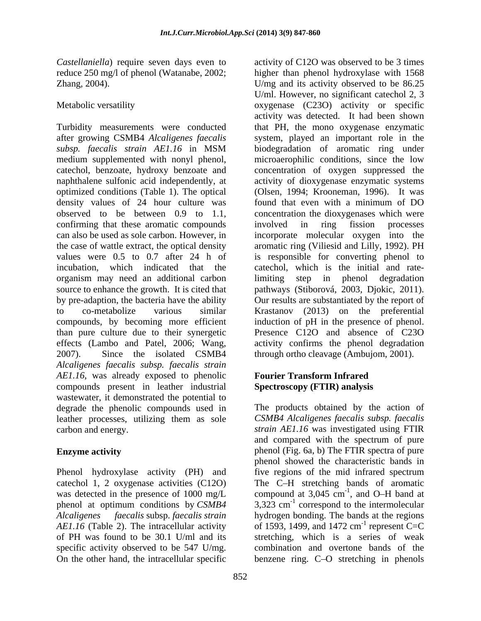density values of 24 hour culture was found that even with a minimum of DO confirming that these aromatic compounds involved in ring fission processes organism may need an additional carbon 2007). Since the isolated CSMB4 through ortho cleavage (Ambujom, 2001). *Alcaligenes faecalis subsp. faecalis strain AE1.16*, was already exposed to phenolic compounds present in leather industrial wastewater, it demonstrated the potential to degrade the phenolic compounds used in leather processes, utilizing them as sole carbon and energy. *strain AE1.16* was investigated using FTIR

Phenol hydroxylase activity (PH) and catechol 1, 2 oxygenase activities (C12O) The C-H stretching bands of aromatic was detected in the presence of 1000 mg/L compound at  $3,045$  cm<sup>-1</sup>, and O–H band at phenol at optimum conditions by *CSMB4* 3,323 cm<sup>-1</sup> correspond to the intermolecular *Alcaligenes faecalis* subsp. *faecalis strain*  hydrogen bonding. The bands at the regions *AE1.16* (Table 2). The intracellular activity of 1593, 1499, and 1472 cm<sup>-1</sup> represent C=C of PH was found to be 30.1 U/ml and its specific activity observed to be 547 U/mg. combination and overtone bands of the On the other hand, the intracellular specific benzene ring. C-O stretching in phenols

*Castellaniella*) require seven days even to activity of C12O was observed to be 3 times reduce 250 mg/l of phenol (Watanabe, 2002; higher than phenol hydroxylase with 1568 Zhang, 2004). Comes a set of the U/mg and its activity observed to be 86.25 Metabolic versatility oxygenase (C23O) activity or specific Turbidity measurements were conducted that PH, the mono oxygenase enzymatic after growing CSMB4 *Alcaligenes faecalis* system, played an important role in the *subsp. faecalis strain AE1.16* in MSM medium supplemented with nonyl phenol, microaerophilic conditions, since the low catechol, benzoate, hydroxy benzoate and concentration of oxygen suppressed the naphthalene sulfonic acid independently, at activity of dioxygenase enzymatic systems optimized conditions (Table 1). The optical (Olsen, 1994; Krooneman,1996). It was observed to be between 0.9 to 1.1, concentration the dioxygenases which were can also be used as sole carbon. However, in incorporate molecular oxygen into the the case of wattle extract, the optical density aromatic ring (Viliesid and Lilly, 1992). PH values were 0.5 to 0.7 after 24 h of is responsible for converting phenol to incubation, which indicated that the catechol, which is the initial and ratesource to enhance the growth. It is cited that pathways (Stiborová, 2003, Djokic, 2011). by pre-adaption, the bacteria have the ability Our results are substantiated by the report of to co-metabolize various similar Krastanov (2013) on the preferential compounds, by becoming more efficient induction of pH in the presence of phenol. than pure culture due to their synergetic Presence C12O and absence of C23O effects (Lambo and Patel, 2006; Wang, activity confirms the phenol degradation U/ml. However, no significant catechol 2, 3 activity was detected. It had been shown biodegradation of aromatic ring under found that even with a minimum of DO involved in ring fission processes limiting step in phenol degradation

# **Fourier Transform Infrared Spectroscopy (FTIR) analysis**

**Enzyme activity phenol** (Fig. 6a, b) The FTIR spectra of pure The products obtained by the action of *CSMB4 Alcaligenes faecalis subsp. faecalis*  and compared with the spectrum of pure phenol showed the characteristic bands in five regions of the mid infrared spectrum  $^{-1}$  and O H band at , and O–H band at  $^{-1}$  roprosont  $C-C$ represent C=C stretching, which is a series of weak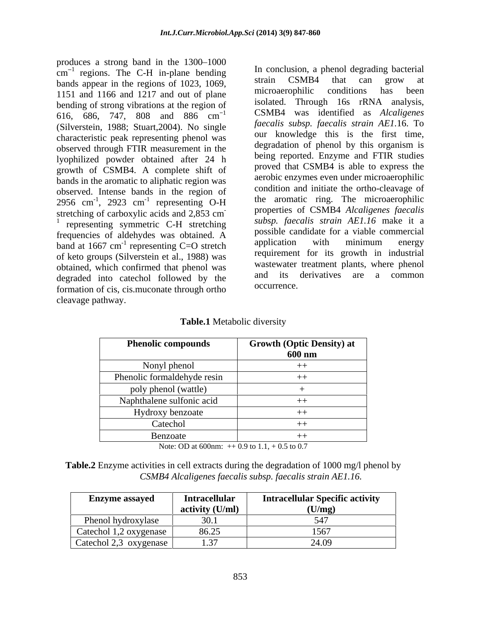produces a strong band in the 1300–1000  $cm^{-1}$  regions. The C-H in-plane bending  $\frac{10}{2}$  in conclusion, a phenol degrading bacterial bands appear in the regions of 1023, 1069,<br>1151 and 1166 and 1217 and out of plane increasementalic conditions has been 1151 and 1166 and 1217 and out of plane bending of strong vibrations at the region of 616, 686, 747, 808 and 886 cm (Silverstein, 1988; Stuart,2004). No single characteristic peak representing phenol was observed through FTIR measurement in the lyophilized powder obtained after 24 h growth of CSMB4. A complete shift of bands in the aromatic to aliphatic region was observed. Intense bands in the region of 2956 cm<sup>-1</sup>, 2923 cm<sup>-1</sup> representing O-H<br>stretching of carboxylic acids and 2,853 cm<sup>-</sup> stretching of carboxylic acids and 2,853 cm properties of CSMB4 Atcatigenes *jaecalls* 1 *subsp. faecalis strain AE1.16* make it a  $\frac{1}{1}$  representing symmetric C-H stretching frequencies of aldehydes was obtained. A possible candidate for a viable commercial<br>hand at 1667 cm<sup>-1</sup> representing  $C = 0$  strateh application with minimum energy band at 1667 cm<sup>-1</sup> representing C=O stretch application with minimum energy of keto groups (Silverstein et al., 1988) was obtained, which confirmed that phenol was wastewater treatment plants, where phenol decreated into external followed by the and its derivatives are a common degraded into catechol followed by the and its<br>formation of sig aig muon the through orthorous occurrence. formation of cis, cis.muconate through ortho cleavage pathway.

 $\frac{1}{1}$  regions. The C-H in-plane bending In conclusion, a phenol degrading bacterial 1 CSMB4 was identified as *Alcaligenes*   $\frac{1}{1}$  2923 cm<sup>-1</sup> representing  $\Omega$ H the aromatic ring. The microaerophilic , 2923 cm<sup>-1</sup> representing O-H and the aromatic ring. The interoactophilic representing  $O-H$  the aromance ring. The interogerophilic - properties of CSMB4 *Alcaligenes faecalis* representing C=O stretch application with minimum energy strain CSMB4 that can grow at microaerophilic conditions has been isolated. Through 16s rRNA analysis, *faecalis subsp. faecalis strain AE1.*16. To our knowledge this is the first time, degradation of phenol by this organism is being reported. Enzyme and FTIR studies proved that CSMB4 is able to express the aerobic enzymes even under microaerophilic condition and initiate the ortho-cleavage of possible candidate for a viable commercial application with minimum energy requirement for its growth in industrial wastewater treatment plants, where phenol and its derivatives are a common occurrence.

**Table.1** Metabolic diversity

| <b>Phenolic compounds</b>   | <b>Growth (Optic Density) at</b> |
|-----------------------------|----------------------------------|
|                             | 600 nm                           |
| Nonyl phenol                |                                  |
| Phenolic formaldehyde resin |                                  |
| poly phenol (wattle)        |                                  |
| Naphthalene sulfonic acid   |                                  |
| Hydroxy benzoate            |                                  |
| Catechol                    |                                  |
| Benzoate                    |                                  |

Note: OD at 600nm:  $+$  0.9 to 1.1,  $+$  0.5 to 0.7

**Table.2** Enzyme activities in cell extracts during the degradation of 1000 mg/l phenol by *CSMB4 Alcaligenes faecalis subsp. faecalis strain AE1.16.*

| <b>Enzyme assayed</b>        | <b>Intracellular</b><br>activity (U/ml) | <b>Intracellular Specific activity</b><br>(U/mg) |
|------------------------------|-----------------------------------------|--------------------------------------------------|
| $\sim$<br>Phenol hydroxylase |                                         |                                                  |
| Catechol 1,2 oxygenase       | 86.25                                   | 1567                                             |
| Catechol $2,3$ oxygenase     | .                                       | $\Lambda$ $\Omega$<br>44.07                      |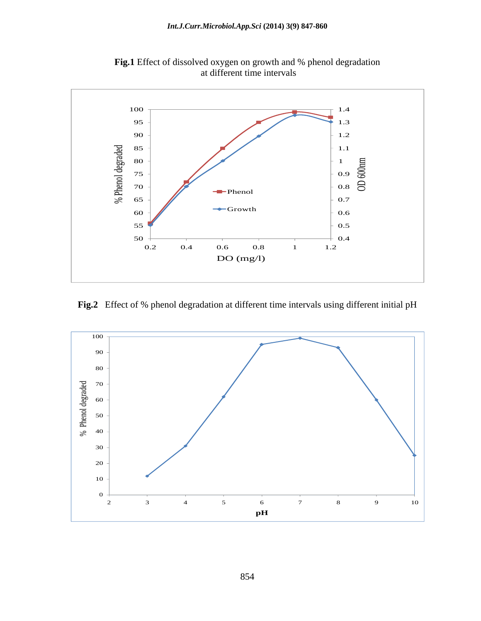

**Fig.1** Effect of dissolved oxygen on growth and % phenol degradation at different time intervals

**Fig.2** Effect of % phenol degradation at different time intervals using different initial pH

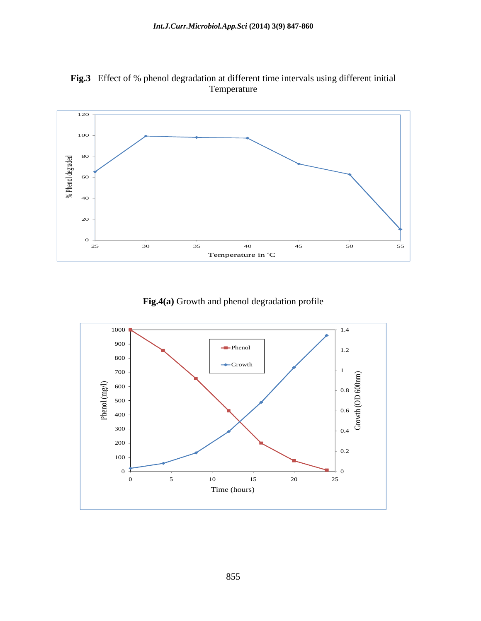

**Fig.3** Effect of % phenol degradation at different time intervals using different initial Temperature and the state of the state of the state of the state of the state of the state of the state of the state of the state of the state of the state of the state of the state of the state of the state of the state o

**Fig.4(a)** Growth and phenol degradation profile

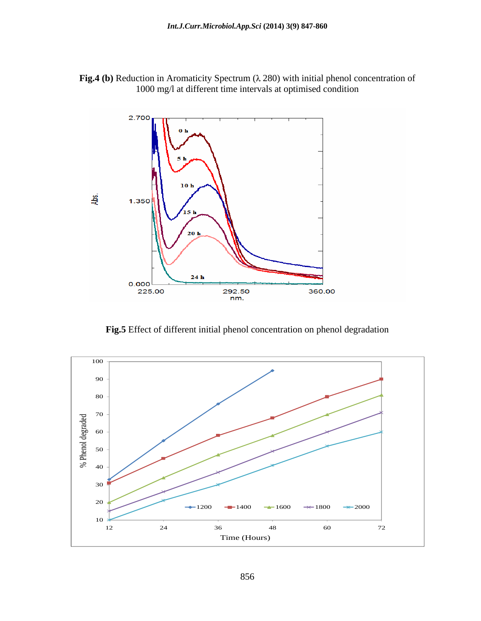



**Fig.5** Effect of different initial phenol concentration on phenol degradation

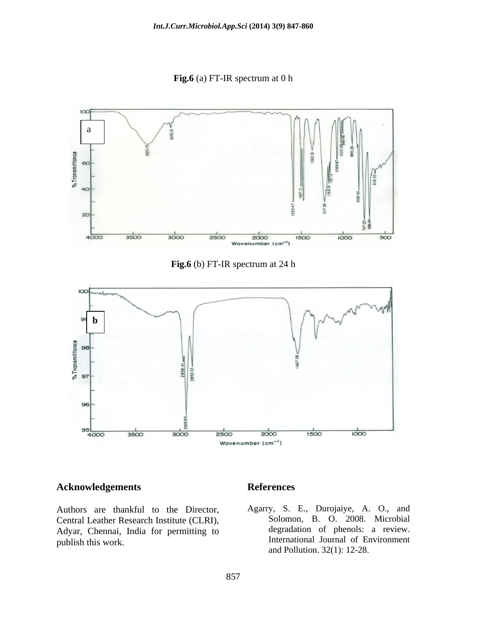**Fig.6** (a) FT-IR spectrum at 0 h



**Fig.6** (b) FT-IR spectrum at 24 h



### **Acknowledgements**

Authors are thankful to the Director, Central Leather Research Institute (CLRI), Adyar, Chennai, India for permitting to

### **References**

publish this work. International Journal of Environment Agarry, S. E., Durojaiye, A. O., and Solomon, B. O. 2008. Microbial degradation of phenols: a review. and Pollution. 32(1): 12-28.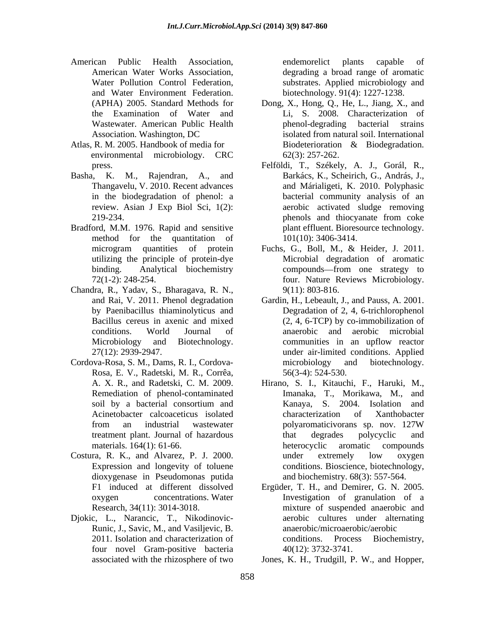- American Public Health Association, and Water Environment Federation.
- environmental microbiology. CRC
- Basha, K. M., Rajendran, A., and
- Bradford, M.M. 1976. Rapid and sensitive method for the quantitation of utilizing the principle of protein-dye
- Chandra, R., Yadav, S., Bharagava, R. N.,
- Rosa, E. V., Radetski, M. R., Corrêa,
- Costura, R. K., and Alvarez, P. J. 2000. dioxygenase in Pseudomonas putida
- Djokic, L., Narancic, T., Nikodinovic- Runic, J., Savic, M., and Vasiljevic, B. 2011. Isolation and characterization of conditions. four novel Gram-positive bacteria

American Water Works Association, degrading a broad range of aromatic Water Pollution Control Federation, substrates. Applied microbiology and endemorelict plants capable of biotechnology. 91(4): 1227-1238.

- (APHA) 2005. Standard Methods for Dong, X., Hong, Q., He, L., Jiang, X., and the Examination of Water and Li, S. 2008. Characterization of Wastewater. American Public Health **Example 18** phenol-degrading bacterial strains Association. Washington, DC Atlas, R. M. 2005. Handbook of media for Biodeterioration & Biodegradation. phenol-degrading bacterial strains isolated from natural soil. International Biodeterioration & Biodegradation. 62(3): 257-262.
	- press. Felföldi, T., Székely, A. J., Gorál, R., Thangavelu, V. 2010. Recent advances and Márialigeti, K. 2010. Polyphasic in the biodegradation of phenol: a bacterial community analysis of an review. Asian J Exp Biol Sci, 1(2): aerobic activated sludge removing 219-234. blenols and thiocyanate from coke Barkács, K., Scheirich, G., András, J., phenols and thiocyanate from coke plant effluent. Bioresource technology. 101(10): 3406-3414.
	- microgram quantities of protein Fuchs, G., Boll, M., & Heider, J. 2011. binding. Analytical biochemistry compounds—from one strategy to 72(1-2): 248-254. four. Nature Reviews Microbiology. Microbial degradation of aromatic compounds—from one strategy to 9(11): 803-816.
- and Rai, V. 2011. Phenol degradation Gardin, H., Lebeault, J., and Pauss, A. 2001. by Paenibacillus thiaminolyticus and Degradation of 2, 4, 6-trichlorophenol Bacillus cereus in axenic and mixed (2, 4, 6-TCP) by co-immobilization of conditions. World Journal of anaerobic and aerobic microbial Microbiology and Biotechnology. communities in an upflow reactor 27(12): 2939-2947. under air-limited conditions. Applied Cordova-Rosa, S. M., Dams, R. I., Cordova communities in an upflow reactor microbiology and biotechnology. 56(3-4): 524-530.
	- A. X. R., and Radetski, C. M. 2009. Hirano, S. I., Kitauchi, F., Haruki, M., Remediation of phenol-contaminated Imanaka, T., Morikawa, M., and soil by a bacterial consortium and Kanaya, S. 2004. Isolation and Acinetobacter calcoaceticus isolated from an industrial wastewater polyaromaticivorans sp. nov. 127W treatment plant. Journal of hazardous materials. 164(1): 61-66. heterocyclic aromatic compounds Expression and longevity of toluene conditions. Bioscience, biotechnology, Kanaya, S. 2004. Isolation and characterization of Xanthobacter polyaromaticivorans sp. nov. 127W that degrades polycyclic and heterocyclic aromatic compounds under extremely low oxygen and biochemistry. 68(3): 557-564.
	- F1 induced at different dissolved Ergüder, T. H., and Demirer, G. N. 2005. oxygen concentrations. Water Investigation of granulation of a Research, 34(11): 3014-3018. mixture of suspended anaerobic and aerobic cultures under alternating anaerobic/microaerobic/aerobic Process Biochemistry, 40(12): 3732-3741.

associated with the rhizosphere of two Jones, K. H., Trudgill, P. W., and Hopper,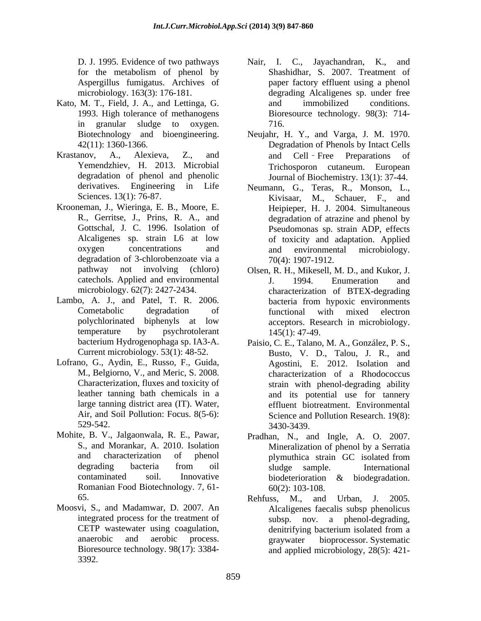- Kato, M. T., Field, J. A., and Lettinga, G. and immobilized conditions. in granular sludge to oxygen. 716.
- Krastanov, A., Alexieva, Z., and and Cell-Free Preparations of degradation of phenol and phenolic Journal of Biochemistry. 13(1): 37-44.
- Krooneman, J., Wieringa, E. B., Moore, E. R., Gerritse, J., Prins, R. A., and degradation of 3-chlorobenzoate via a
- Lambo, A. J., and Patel, T. R. 2006. bacteria from hypoxic environments
- Lofrano, G., Aydin, E., Russo, F., Guida, Air, and Soil Pollution: Focus. 8(5-6):
- Romanian Food Biotechnology. 7, 61-
- Moosvi, S., and Madamwar, D. 2007. An 3392.
- D. J. 1995. Evidence of two pathways Nair, I. C., Jayachandran, K., and for the metabolism of phenol by Shashidhar, S. 2007. Treatment of Aspergillus fumigatus. Archives of paper factory effluent using a phenol microbiology. 163(3): 176-181. degrading Alcaligenes sp. under free 1993. High tolerance of methanogens Bioresource technology. 98(3): 714- Shashidhar, S. 2007. Treatment of and immobilized conditions. 716.
- Biotechnology and bioengineering. Neujahr, H. Y., and Varga, J. M. 1970. 42(11): 1360-1366. Degradation of Phenols by Intact Cells Yemendzhiev, H. 2013. Microbial Trichosporon cutaneum. European and Cell Free Preparations of
- derivatives. Engineering in Life Neumann, G., Teras, R., Monson, L., Sciences. 13(1): 76-87. Kivisaar, M., Schauer, F., and Gottschal, J. C. 1996. Isolation of Pseudomonas sp. strain ADP, effects Alcaligenes sp. strain L6 at low of toxicity and adaptation. Applied oxygen concentrations and and environmental microbiology. Heipieper, H. J. 2004. Simultaneous degradation of atrazine and phenol by and environmental microbiology. 70(4): 1907-1912.
- pathway not involving (chloro) Olsen, R. H., Mikesell, M. D., and Kukor, J. catechols. Applied and environmental microbiology. 62(7): 2427-2434. characterization of BTEX-degrading Cometabolic degradation of functional with mixed electron polychlorinated biphenyls at low temperature by psychrotolerant  $145(1)$ :  $47-49$ . J. 1994. Enumeration and bacteria from hypoxic environments functional with mixed electron acceptors. Research in microbiology. 145(1): 47-49.
- bacterium Hydrogenophaga sp. IA3-A. Paisio, C. E., Talano, M. A., González, P. S., Current microbiology. 53(1): 48-52. Busto, V. D., Talou, J. R., and M., Belgiorno, V., and Meric, S. 2008. characterization of a Rhodococcus Characterization, fluxes and toxicity of strain with phenol-degrading ability leather tanning bath chemicals in a and its potential use for tannery large tanning district area (IT). Water, effluent biotreatment. Environmental 529-542. Agostini, E. 2012. Isolation and Science and Pollution Research. 19(8): 3430-3439.
- Mohite, B. V., Jalgaonwala, R. E., Pawar, Pradhan, N., and Ingle, A. O. 2007. S., and Morankar, A. 2010. Isolation Mineralization of phenol by a Serratia and characterization of phenol degrading bacteria from oil sludge sample. International contaminated soil. Innovative biodeterioration & biodegradation. plymuthica strain GC isolated from sludge sample. International 60(2): 103-108.
	- 65. Rehfuss, M., and Urban, J. 2005. integrated process for the treatment of subsp. nov. a phenol-degrading, CETP wastewater using coagulation, denitrifying bacterium isolated from a anaerobic and aerobic process. Bioresource technology. 98(17): 3384- and applied microbiology, 28(5): 421-Rehfuss, M., and Urban, J. 2005. Alcaligenes faecalis subsp phenolicus denitrifying bacterium isolated from a graywater bioprocessor. Systematic